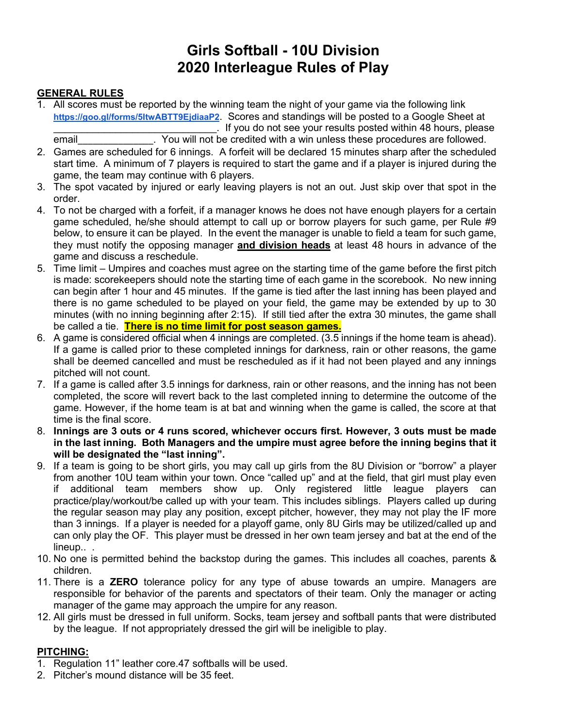# **Girls Softball - 10U Division 2020 Interleague Rules of Play**

#### **GENERAL RULES**

- 1. All scores must be reported by the winning team the night of your game via the following link **<https://goo.gl/forms/5ItwABTT9EjdiaaP2>**. Scores and standings will be posted to a Google Sheet at . If you do not see your results posted within 48 hours, please email email entity of the credited with a win unless these procedures are followed.
- 2. Games are scheduled for 6 innings. A forfeit will be declared 15 minutes sharp after the scheduled start time. A minimum of 7 players is required to start the game and if a player is injured during the game, the team may continue with 6 players.
- 3. The spot vacated by injured or early leaving players is not an out. Just skip over that spot in the order.
- 4. To not be charged with a forfeit, if a manager knows he does not have enough players for a certain game scheduled, he/she should attempt to call up or borrow players for such game, per Rule #9 below, to ensure it can be played. In the event the manager is unable to field a team for such game, they must notify the opposing manager **and division heads** at least 48 hours in advance of the game and discuss a reschedule.
- 5. Time limit Umpires and coaches must agree on the starting time of the game before the first pitch is made: scorekeepers should note the starting time of each game in the scorebook. No new inning can begin after 1 hour and 45 minutes. If the game is tied after the last inning has been played and there is no game scheduled to be played on your field, the game may be extended by up to 30 minutes (with no inning beginning after 2:15). If still tied after the extra 30 minutes, the game shall be called a tie. **There is no time limit for post season games.**
- 6. A game is considered official when 4 innings are completed. (3.5 innings if the home team is ahead). If a game is called prior to these completed innings for darkness, rain or other reasons, the game shall be deemed cancelled and must be rescheduled as if it had not been played and any innings pitched will not count.
- 7. If a game is called after 3.5 innings for darkness, rain or other reasons, and the inning has not been completed, the score will revert back to the last completed inning to determine the outcome of the game. However, if the home team is at bat and winning when the game is called, the score at that time is the final score.
- 8. **Innings are 3 outs or 4 runs scored, whichever occurs first. However, 3 outs must be made in the last inning. Both Managers and the umpire must agree before the inning begins that it will be designated the "last inning".**
- 9. If a team is going to be short girls, you may call up girls from the 8U Division or "borrow" a player from another 10U team within your town. Once "called up" and at the field, that girl must play even if additional team members show up. Only registered little league players can practice/play/workout/be called up with your team. This includes siblings. Players called up during the regular season may play any position, except pitcher, however, they may not play the IF more than 3 innings. If a player is needed for a playoff game, only 8U Girls may be utilized/called up and can only play the OF. This player must be dressed in her own team jersey and bat at the end of the lineup...
- 10. No one is permitted behind the backstop during the games. This includes all coaches, parents & children.
- 11. There is a **ZERO** tolerance policy for any type of abuse towards an umpire. Managers are responsible for behavior of the parents and spectators of their team. Only the manager or acting manager of the game may approach the umpire for any reason.
- 12. All girls must be dressed in full uniform. Socks, team jersey and softball pants that were distributed by the league. If not appropriately dressed the girl will be ineligible to play.

#### **PITCHING:**

- 1. Regulation 11" leather core.47 softballs will be used.
- 2. Pitcher's mound distance will be 35 feet.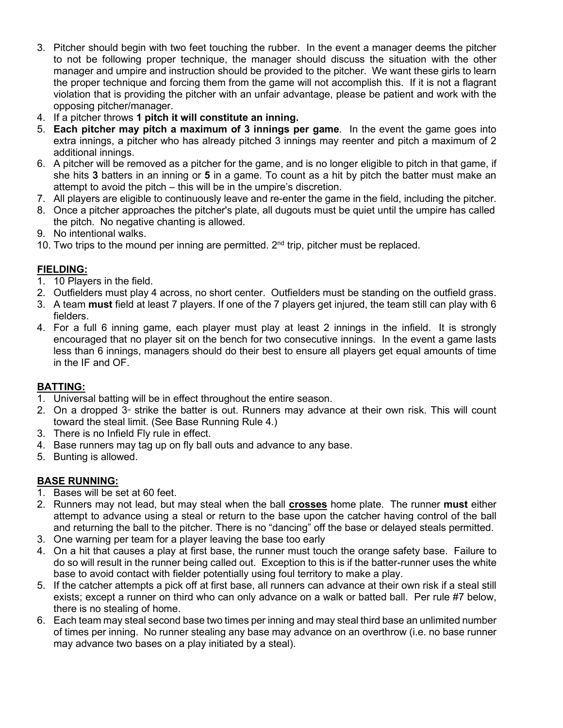- 3. Pitcher should begin with two feet touching the rubber. In the event a manager deems the pitcher to not be following proper technique, the manager should discuss the situation with the other manager and umpire and instruction should be provided to the pitcher. We want these girls to learn the proper technique and forcing them from the game will not accomplish this. If it is not a flagrant violation that is providing the pitcher with an unfair advantage, please be patient and work with the opposing pitcher/manager.
- 4. If a pitcher throws **1 pitch it will constitute an inning.**
- 5. **Each pitcher may pitch a maximum of 3 innings per game**. In the event the game goes into extra innings, a pitcher who has already pitched 3 innings may reenter and pitch a maximum of 2 additional innings.
- 6. A pitcher will be removed as a pitcher for the game, and is no longer eligible to pitch in that game, if she hits **3** batters in an inning or **5** in a game. To count as a hit by pitch the batter must make an attempt to avoid the pitch – this will be in the umpire's discretion.
- 7. All players are eligible to continuously leave and re-enter the game in the field, including the pitcher.
- 8. Once a pitcher approaches the pitcher's plate, all dugouts must be quiet until the umpire has called the pitch. No negative chanting is allowed.
- 9. No intentional walks.
- 10. Two trips to the mound per inning are permitted.  $2<sup>nd</sup>$  trip, pitcher must be replaced.

## **FIELDING:**

- 1. 10 Players in the field.
- 2. Outfielders must play 4 across, no short center. Outfielders must be standing on the outfield grass.
- 3. A team **must** field at least 7 players. If one of the 7 players get injured, the team still can play with 6 fielders.
- 4. For a full 6 inning game, each player must play at least 2 innings in the infield. It is strongly encouraged that no player sit on the bench for two consecutive innings. In the event a game lasts less than 6 innings, managers should do their best to ensure all players get equal amounts of time in the IF and OF.

#### **BATTING:**

- 1. Universal batting will be in effect throughout the entire season.
- 2. On a dropped  $3<sup>d</sup>$  strike the batter is out. Runners may advance at their own risk. This will count toward the steal limit. (See Base Running Rule 4.)
- 3. There is no Infield Fly rule in effect.
- 4. Base runners may tag up on fly ball outs and advance to any base.
- 5. Bunting is allowed.

#### **BASE RUNNING:**

- 1. Bases will be set at 60 feet.
- 2. Runners may not lead, but may steal when the ball **crosses** home plate. The runner **must** either attempt to advance using a steal or return to the base upon the catcher having control of the ball and returning the ball to the pitcher. There is no "dancing" off the base or delayed steals permitted.
- 3. One warning per team for a player leaving the base too early
- 4. On a hit that causes a play at first base, the runner must touch the orange safety base. Failure to do so will result in the runner being called out. Exception to this is if the batter-runner uses the white base to avoid contact with fielder potentially using foul territory to make a play.
- 5. If the catcher attempts a pick off at first base, all runners can advance at their own risk if a steal still exists; except a runner on third who can only advance on a walk or batted ball. Per rule #7 below, there is no stealing of home.
- 6. Each team may steal second base two times per inning and may steal third base an unlimited number of times per inning. No runner stealing any base may advance on an overthrow (i.e. no base runner may advance two bases on a play initiated by a steal).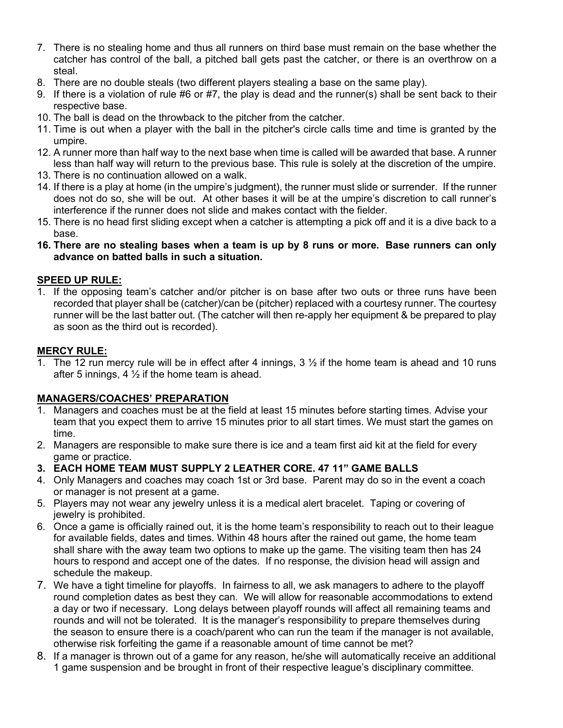- 7. There is no stealing home and thus all runners on third base must remain on the base whether the catcher has control of the ball, a pitched ball gets past the catcher, or there is an overthrow on a steal.
- 8. There are no double steals (two different players stealing a base on the same play).
- 9. If there is a violation of rule #6 or #7, the play is dead and the runner(s) shall be sent back to their respective base.
- 10. The ball is dead on the throwback to the pitcher from the catcher.
- 11. Time is out when a player with the ball in the pitcher's circle calls time and time is granted by the umpire.
- 12. A runner more than half way to the next base when time is called will be awarded that base. A runner less than half way will return to the previous base. This rule is solely at the discretion of the umpire.
- 13. There is no continuation allowed on a walk.
- 14. If there is a play at home (in the umpire's judgment), the runner must slide or surrender. If the runner does not do so, she will be out. At other bases it will be at the umpire's discretion to call runner's interference if the runner does not slide and makes contact with the fielder.
- 15. There is no head first sliding except when a catcher is attempting a pick off and it is a dive back to a base.
- **16. There are no stealing bases when a team is up by 8 runs or more. Base runners can only advance on batted balls in such a situation.**

#### **SPEED UP RULE:**

1. If the opposing team's catcher and/or pitcher is on base after two outs or three runs have been recorded that player shall be (catcher)/can be (pitcher) replaced with a courtesy runner. The courtesy runner will be the last batter out. (The catcher will then re-apply her equipment & be prepared to play as soon as the third out is recorded).

#### **MERCY RULE:**

1. The 12 run mercy rule will be in effect after 4 innings,  $3\frac{1}{2}$  if the home team is ahead and 10 runs after 5 innings,  $4\frac{1}{2}$  if the home team is ahead.

#### **MANAGERS/COACHES' PREPARATION**

- Managers and coaches must be at the field at least 15 minutes before starting times. Advise your team that you expect them to arrive 15 minutes prior to all start times. We must start the games on time.
- 2. Managers are responsible to make sure there is ice and a team first aid kit at the field for every game or practice.
- **3. EACH HOME TEAM MUST SUPPLY 2 LEATHER CORE. 47 11" GAME BALLS**
- 4. Only Managers and coaches may coach 1st or 3rd base. Parent may do so in the event a coach or manager is not present at a game.
- 5. Players may not wear any jewelry unless it is a medical alert bracelet. Taping or covering of jewelry is prohibited.
- 6. Once a game is officially rained out, it is the home team's responsibility to reach out to their league for available fields, dates and times. Within 48 hours after the rained out game, the home team shall share with the away team two options to make up the game. The visiting team then has 24 hours to respond and accept one of the dates. If no response, the division head will assign and schedule the makeup.
- 7. We have a tight timeline for playoffs. In fairness to all, we ask managers to adhere to the playoff round completion dates as best they can. We will allow for reasonable accommodations to extend a day or two if necessary. Long delays between playoff rounds will affect all remaining teams and rounds and will not be tolerated. It is the manager's responsibility to prepare themselves during the season to ensure there is a coach/parent who can run the team if the manager is not available, otherwise risk forfeiting the game if a reasonable amount of time cannot be met?
- 8. If a manager is thrown out of a game for any reason, he/she will automatically receive an additional 1 game suspension and be brought in front of their respective league's disciplinary committee.